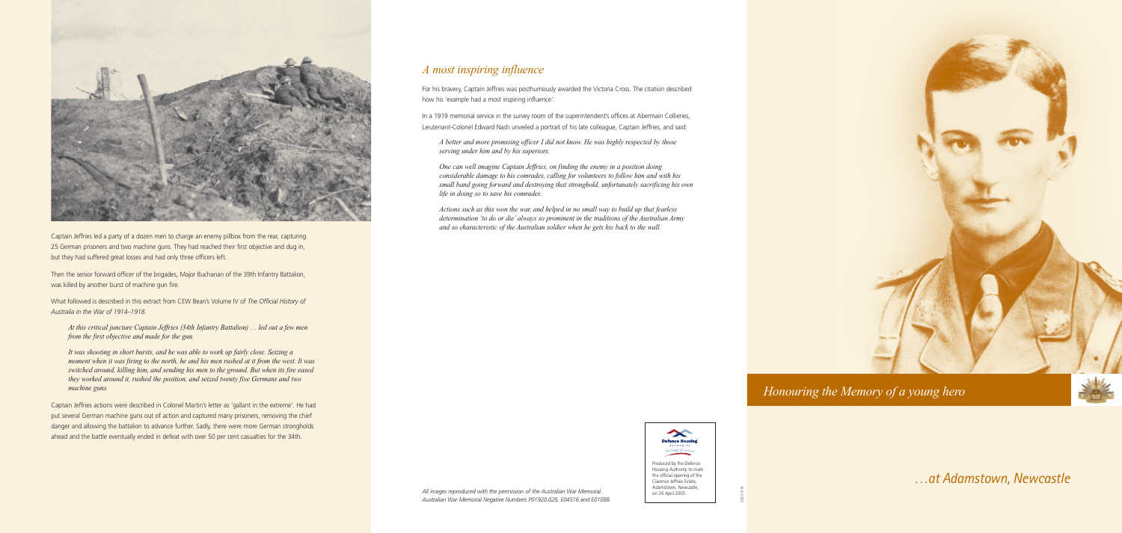## *A most inspiring influence*

For his bravery, Captain Jeffries was posthumously awarded the Victoria Cross. The citation described how his 'example had a most inspiring influence'.

In a 1919 memorial service in the survey room of the superintendent's offices at Abermain Collieries, Lieutenant-Colonel Edward Nash unveiled a portrait of his late colleague, Captain Jeffries, and said:

*A better and more promising officer I did not know. He was highly respected by those serving under him and by his superiors.*

*One can well imagine Captain Jeffries, on finding the enemy in a position doing considerable damage to his comrades, calling for volunteers to follow him and with his small band going forward and destroying that stronghold, unfortunately sacrificing his own life in doing so to save his comrades.*

*Actions such as this won the war, and helped in no small way to build up that fearless determination 'to do or die' always so prominent in the traditions of the Australian Army and so characteristic of the Australian soldier when he gets his back to the wall.*



Captain Jeffries led a party of a dozen men to charge an enemy pillbox from the rear, capturing 25 German prisoners and two machine guns. They had reached their first objective and dug in, but they had suffered great losses and had only three officers left.

Then the senior forward officer of the brigades, Major Buchanan of the 39th Infantry Battalion, was killed by another burst of machine gun fire.

What followed is described in this extract from CEW Bean's Volume IV of *The Official History of Australia in the War of 1914–1918*.

*At this critical juncture Captain Jeffries (34th Infantry Battalion) … led out a few men from the first objective and made for the gun.*

*It was shooting in short bursts, and he was able to work up fairly close. Seizing a moment when it was firing to the north, he and his men rushed at it from the west. It was switched around, killing him, and sending his men to the ground. But when its fire eased they worked around it, rushed the position, and seized twenty five Germans and two machine guns.*

Captain Jeffries actions were described in Colonel Martin's letter as 'gallant in the extreme'. He had put several German machine guns out of action and captured many prisoners, removing the chief danger and allowing the battalion to advance further. Sadly, there were more German strongholds ahead and the battle eventually ended in defeat with over 50 per cent casualties for the 34th.



the official opening of the Clarence Jeffries Estate, Adamstown, Newcastle, on 26 April 2005.

*Honouring the Memory of a young hero* 



…*at Adamstown, Newcastle*

Z00 21216

*All images reproduced with the permission of the Australian War Memorial. Australian War Memorial Negative Numbers P01920.028, E04516 and E01088.*